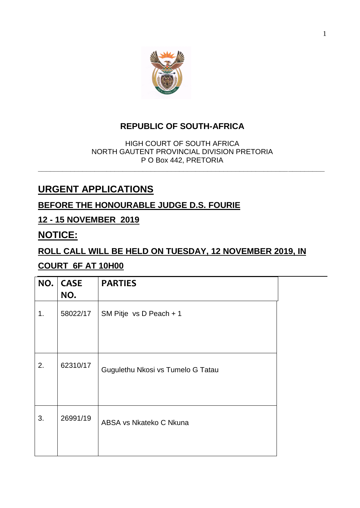

## **REPUBLIC OF SOUTH-AFRICA**

HIGH COURT OF SOUTH AFRICA NORTH GAUTENT PROVINCIAL DIVISION PRETORIA P O Box 442, PRETORIA **\_\_\_\_\_\_\_\_\_\_\_\_\_\_\_\_\_\_\_\_\_\_\_\_\_\_\_\_\_\_\_\_\_\_\_\_\_\_\_\_\_\_\_\_\_\_\_\_\_\_\_\_\_\_\_\_\_\_\_\_\_\_\_\_\_\_\_\_\_\_\_**

# **URGENT APPLICATIONS**

## **BEFORE THE HONOURABLE JUDGE D.S. FOURIE**

#### **12 - 15 NOVEMBER 2019**

## **NOTICE:**

#### **ROLL CALL WILL BE HELD ON TUESDAY, 12 NOVEMBER 2019, IN**

#### **COURT 6F AT 10H00**

| NO. | <b>CASE</b><br>NO. | <b>PARTIES</b>                    |  |
|-----|--------------------|-----------------------------------|--|
| 1.  | 58022/17           | SM Pitje vs D Peach + 1           |  |
| 2.  | 62310/17           | Gugulethu Nkosi vs Tumelo G Tatau |  |
| 3.  | 26991/19           | ABSA vs Nkateko C Nkuna           |  |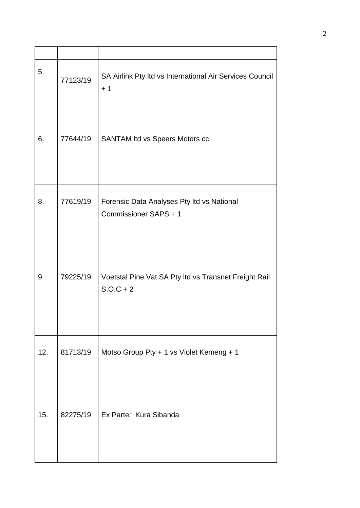| 5.  | 77123/19 | SA Airlink Pty Itd vs International Air Services Council<br>$+1$     |
|-----|----------|----------------------------------------------------------------------|
| 6.  | 77644/19 | <b>SANTAM Itd vs Speers Motors cc</b>                                |
| 8.  | 77619/19 | Forensic Data Analyses Pty Itd vs National<br>Commissioner SAPS + 1  |
| 9.  | 79225/19 | Voetstal Pine Vat SA Pty Itd vs Transnet Freight Rail<br>$S.O.C + 2$ |
| 12. | 81713/19 | Motso Group Pty + 1 vs Violet Kemeng + 1                             |
| 15. | 82275/19 | Ex Parte: Kura Sibanda                                               |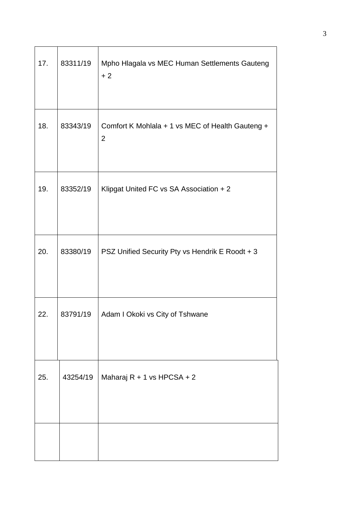| 17. | 83311/19 | Mpho Hlagala vs MEC Human Settlements Gauteng<br>$+2$              |
|-----|----------|--------------------------------------------------------------------|
| 18. | 83343/19 | Comfort K Mohlala + 1 vs MEC of Health Gauteng +<br>$\overline{2}$ |
| 19. | 83352/19 | Klipgat United FC vs SA Association + 2                            |
| 20. | 83380/19 | PSZ Unified Security Pty vs Hendrik E Roodt + 3                    |
| 22  | 83791/19 | Adam I Okoki vs City of Tshwane                                    |
| 25. | 43254/19 | Maharaj R + 1 vs HPCSA + 2                                         |
|     |          |                                                                    |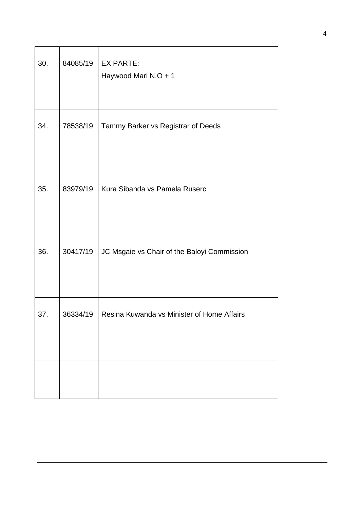| 30. | 84085/19 | <b>EX PARTE:</b><br>Haywood Mari N.O + 1    |
|-----|----------|---------------------------------------------|
| 34. | 78538/19 | Tammy Barker vs Registrar of Deeds          |
| 35. | 83979/19 | Kura Sibanda vs Pamela Ruserc               |
| 36. | 30417/19 | JC Msgaie vs Chair of the Baloyi Commission |
| 37. | 36334/19 | Resina Kuwanda vs Minister of Home Affairs  |
|     |          |                                             |
|     |          |                                             |
|     |          |                                             |